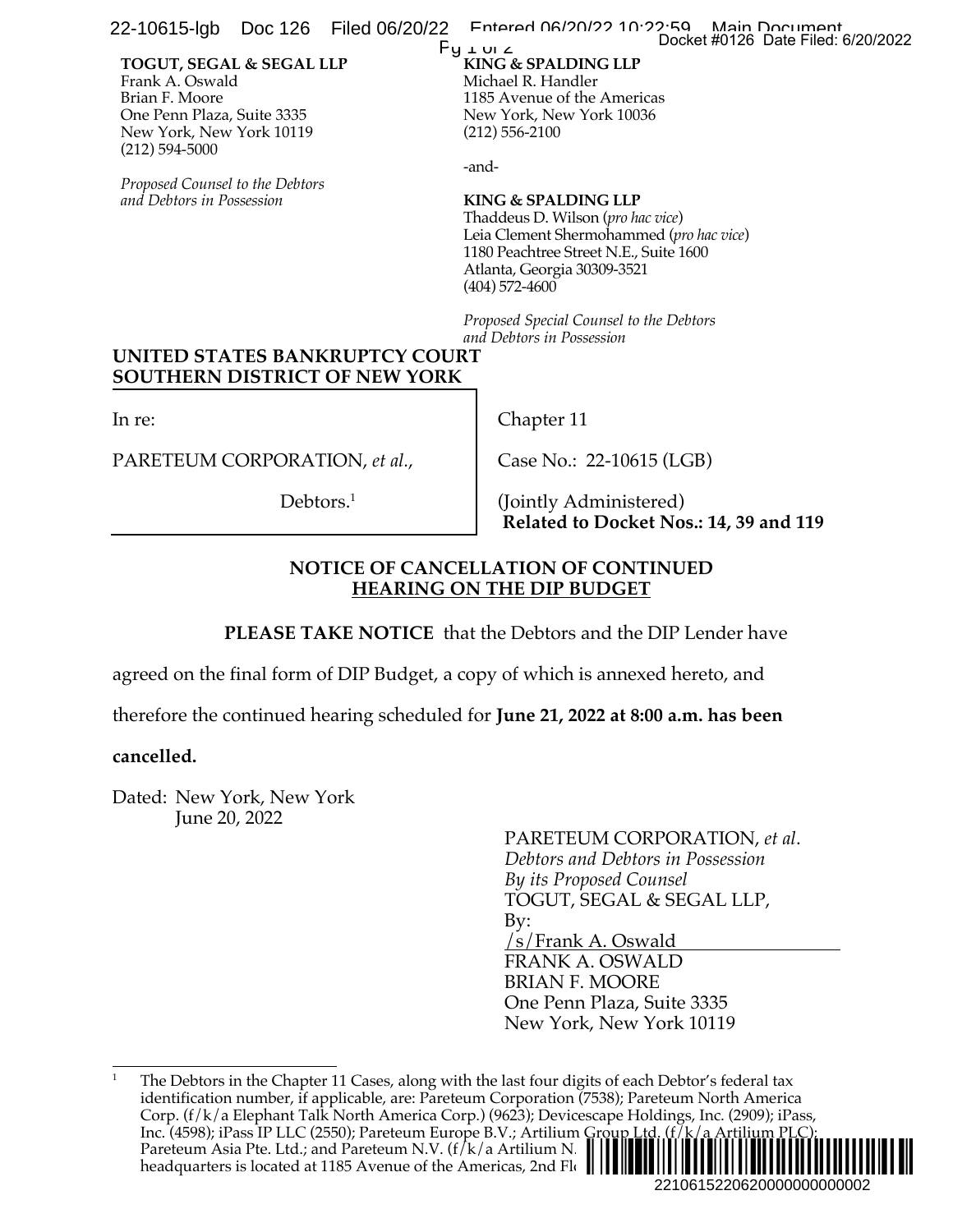22-10615-lgb Doc 126 Filed 06/20/22 Entered 06/20/22 10:22:59 Main Document<br>Docket #0126 Date Filed: 6/20/2022

#### **TOGUT, SEGAL & SEGAL LLP** Frank A. Oswald Brian F. Moore One Penn Plaza, Suite 3335 New York, New York 10119 (212) 594-5000

*Proposed Counsel to the Debtors and Debtors in Possession*

#### **KING & SPALDING LLP**  $Py \perp w \perp$

Michael R. Handler 1185 Avenue of the Americas New York, New York 10036 (212) 556-2100

-and-

### **KING & SPALDING LLP**

Thaddeus D. Wilson (*pro hac vice*) Leia Clement Shermohammed (*pro hac vice*) 1180 Peachtree Street N.E., Suite 1600 Atlanta, Georgia 30309-3521 (404) 572-4600

*Proposed Special Counsel to the Debtors and Debtors in Possession*

# **UNITED STATES BANKRUPTCY COURT SOUTHERN DISTRICT OF NEW YORK**

In re:

PARETEUM CORPORATION, *et al.*,

Debtors.<sup>1</sup>

Chapter 11

Case No.: 22-10615 (LGB)

(Jointly Administered) **Related to Docket Nos.: 14, 39 and 119**

## **NOTICE OF CANCELLATION OF CONTINUED HEARING ON THE DIP BUDGET**

**PLEASE TAKE NOTICE** that the Debtors and the DIP Lender have

agreed on the final form of DIP Budget, a copy of which is annexed hereto, and

therefore the continued hearing scheduled for **June 21, 2022 at 8:00 a.m. has been** 

## **cancelled.**

Dated: New York, New York June 20, 2022

PARETEUM CORPORATION, *et al*. *Debtors and Debtors in Possession By its Proposed Counsel* TOGUT, SEGAL & SEGAL LLP, By: /s/Frank A. Oswald FRANK A. OSWALD BRIAN F. MOORE One Penn Plaza, Suite 3335 New York, New York 10119 2210615220620000000000002 Docket #0126 Date Filed: 6/20/2022

<sup>1</sup> The Debtors in the Chapter 11 Cases, along with the last four digits of each Debtor's federal tax identification number, if applicable, are: Pareteum Corporation (7538); Pareteum North America Corp. (f/k/a Elephant Talk North America Corp.) (9623); Devicescape Holdings, Inc. (2909); iPass, Inc. (4598); iPass IP LLC (2550); Pareteum Europe B.V.; Artilium Group Ltd. (f/k/a Artilium PLC); Pareteum Asia Pte. Ltd.; and Pareteum N.V. ( $f/k/a$  Artilium N. headquarters is located at 1185 Avenue of the Americas, 2nd Floor,  $|| \cdot ||$ ¨2¤5&/6&4 "3«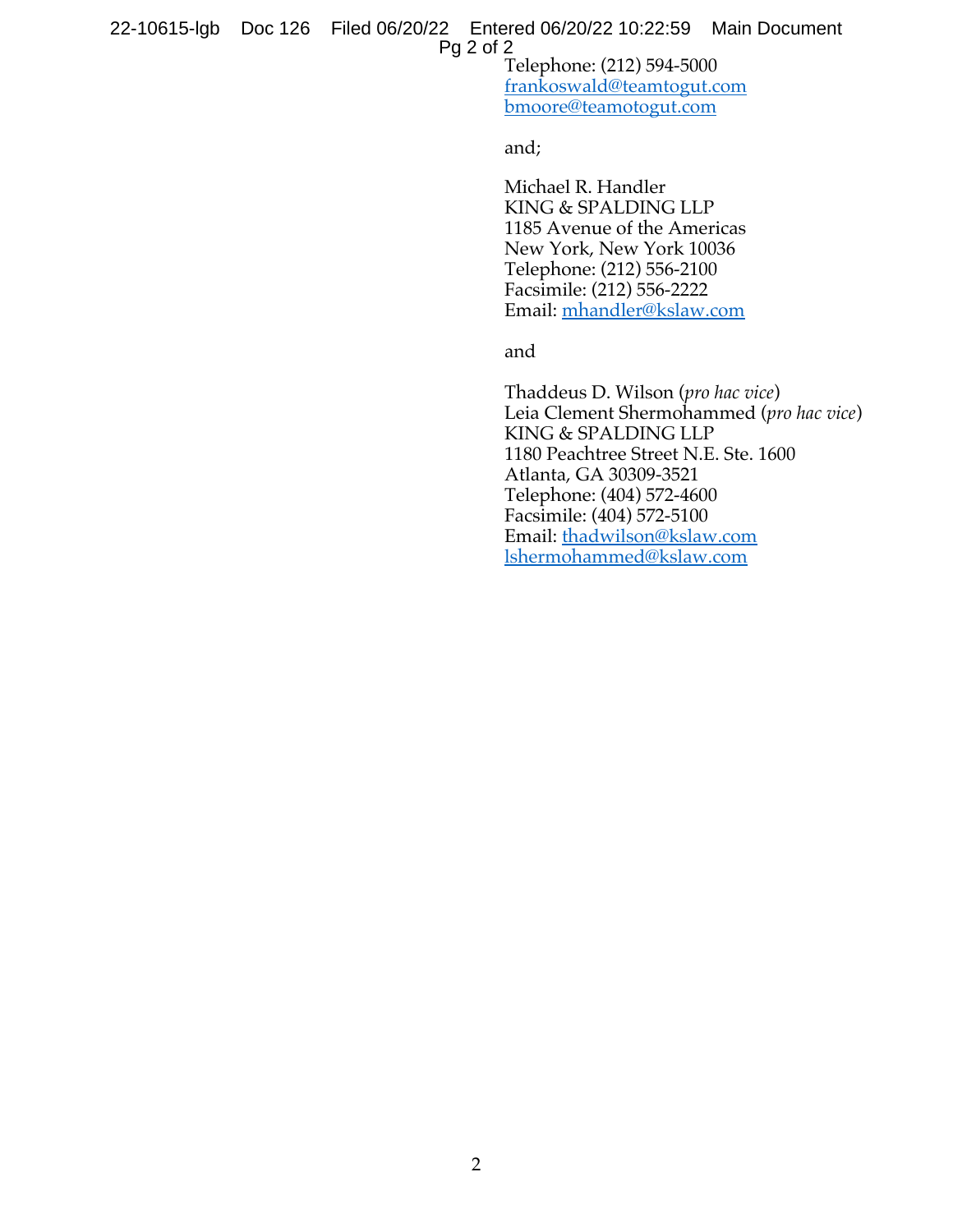frankoswald@teamtogut.com bmoore@teamotogut.com

and;

Michael R. Handler KING & SPALDING LLP 1185 Avenue of the Americas New York, New York 10036 Telephone: (212) 556-2100 Facsimile: (212) 556-2222 Email: mhandler@kslaw.com

and

Thaddeus D. Wilson (*pro hac vice*) Leia Clement Shermohammed (*pro hac vice*) KING & SPALDING LLP 1180 Peachtree Street N.E. Ste. 1600 Atlanta, GA 30309-3521 Telephone: (404) 572-4600 Facsimile: (404) 572-5100 Email: thadwilson@kslaw.com lshermohammed@kslaw.com